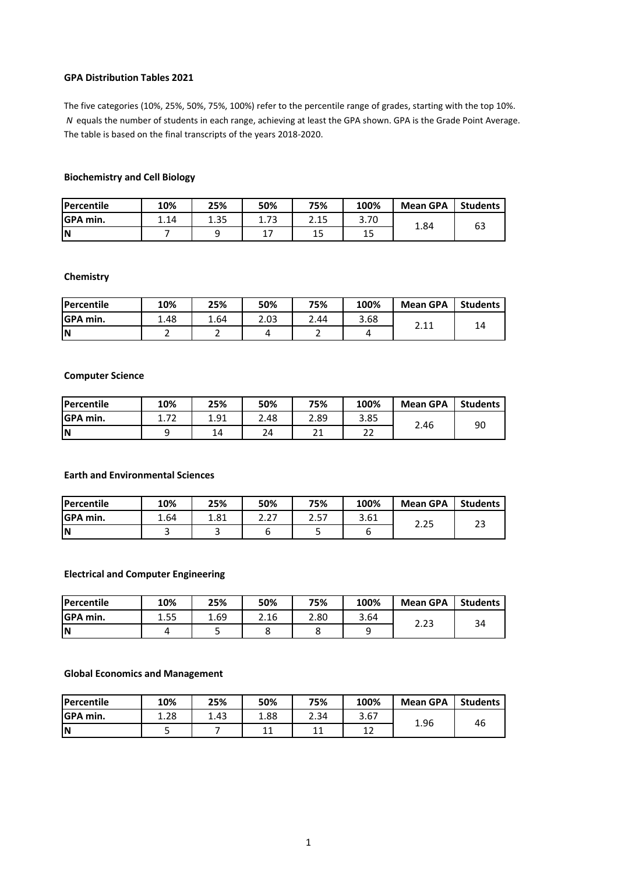### **GPA Distribution Tables 2021**

The five categories (10%, 25%, 50%, 75%, 100%) refer to the percentile range of grades, starting with the top 10%. *N* equals the number of students in each range, achieving at least the GPA shown. GPA is the Grade Point Average. The table is based on the final transcripts of the years 2018-2020.

#### 1 **Biochemistry and Cell Biology**

| Percentile       | 10%  | 25%  | 50%  | 75%  | 100% | <b>Mean GPA</b> | <b>Students</b> |
|------------------|------|------|------|------|------|-----------------|-----------------|
| <b>IGPA min.</b> | 1.14 | 1.35 | 1.73 | 2.15 | 3.70 |                 | 63              |
| IN               |      |      | ᆠ    | 15   | 15   | 1.84            |                 |

#### 2 **Chemistry**

| Percentile       | 10%  | 25%  | 50%  | 75%  | 100% | <b>Mean GPA</b> | <b>Students</b> |
|------------------|------|------|------|------|------|-----------------|-----------------|
| <b>IGPA min.</b> | 1.48 | 1.64 | 2.03 | 2.44 | 3.68 | 2.11            | 14              |
| IN               |      | -    |      | -    |      | <u> 2. i i </u> |                 |

#### 3 **Computer Science**

| Percentile       | 10%          | 25%  | 50%  | 75%    | 100%    | <b>Mean GPA</b> | <b>Students</b> |
|------------------|--------------|------|------|--------|---------|-----------------|-----------------|
| <b>IGPA min.</b> | רד<br>1. / 2 | 1.91 | 2.48 | 2.89   | 3.85    | 2.46            | 90              |
|                  |              | 14   | 24   | ີ<br>ᅀ | າາ<br>ے |                 |                 |

#### 4 **Earth and Environmental Sciences**

| Percentile       | 10%  | 25%  | 50%                    | 75%  | 100% | <b>Mean GPA</b> | <b>Students</b> |
|------------------|------|------|------------------------|------|------|-----------------|-----------------|
| <b>IGPA min.</b> | 1.64 | 1.81 | $\mathcal{L}$<br>ر ے . | 2.57 | 3.61 | חר ר            | າາ<br>23        |
| ١N               |      |      |                        |      |      | د ۲۰۰           |                 |

### 5 **Electrical and Computer Engineering**

| Percentile       | 10%  | 25%  | 50%  | 75%  | 100% | <b>Mean GPA</b> | <b>Students</b> |
|------------------|------|------|------|------|------|-----------------|-----------------|
| <b>IGPA min.</b> | 1.55 | 1.69 | 2.16 | 2.80 | 3.64 | ר ר             | 34              |
| IN               |      |      |      |      |      | 2.23            |                 |

#### 6 **Global Economics and Management**

| Percentile      | 10%  | 25%  | 50%  | 75%  | 100%    | Mean GPA | <b>Students</b> |
|-----------------|------|------|------|------|---------|----------|-----------------|
| <b>GPA min.</b> | 1.28 | 1.43 | 1.88 | 2.34 | 3.67    |          | 46              |
| lΝ              |      |      | ᆠ    |      | າາ<br>┸ | 1.96     |                 |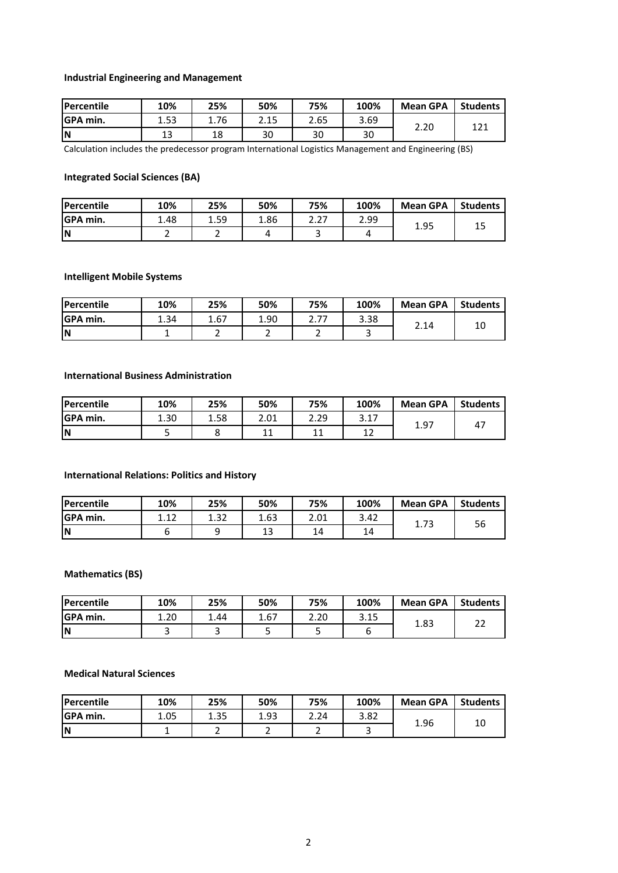### 7 **Industrial Engineering and Management**

| Percentile      | 10%  | 25%  | 50%  | 75%  | 100% | <b>Mean GPA</b> | <b>Students</b> |
|-----------------|------|------|------|------|------|-----------------|-----------------|
| <b>GPA min.</b> | 1.53 | 1.76 | 2.15 | 2.65 | 3.69 |                 | 121             |
| IN              | 13   | 18   | 30   | 30   | 30   | 2.20            |                 |

Calculation includes the predecessor program International Logistics Management and Engineering (BS)

# 8 **Integrated Social Sciences (BA)**

| Percentile       | 10%   | 25%  | 50%  | 75%   | 100% | <b>Mean GPA</b> | <b>Students</b> |
|------------------|-------|------|------|-------|------|-----------------|-----------------|
| <b>IGPA min.</b> | 48. د | 1.59 | 1.86 | ر ے ۔ | 2.99 | 1.95            | 15              |
| IN               |       |      |      |       |      |                 |                 |

### 9 **Intelligent Mobile Systems**

| Percentile       | 10%  | 25%  | 50%  | 75%      | 100% | <b>Mean GPA</b> | <b>Students</b> |
|------------------|------|------|------|----------|------|-----------------|-----------------|
| <b>IGPA min.</b> | 1.34 | 1.67 | 1.90 | <u>.</u> | 3.38 |                 | 10              |
| IN               |      | -    |      | -        |      | 2.14            |                 |

#### **International Business Administration**

| Percentile       | 10%  | 25%  | 50%  | 75%  | 100%        | Mean GPA | Students |
|------------------|------|------|------|------|-------------|----------|----------|
| <b>IGPA min.</b> | 1.30 | 1.58 | 2.01 | 2.29 | 3.17        | 1.97     | 47       |
| IN               |      |      |      |      | $\sim$<br>∸ |          |          |

### **International Relations: Politics and History**

| Percentile       | 10%                 | 25%  | 50%  | 75%  | 100% | <b>Mean GPA</b>          | <b>Students</b> |
|------------------|---------------------|------|------|------|------|--------------------------|-----------------|
| <b>IGPA min.</b> | $1^{\circ}$<br>∸∙∸∽ | 1.32 | 1.63 | 2.01 | 3.42 | $\overline{\phantom{a}}$ | 56              |
| IN               |                     |      | ⊥J   | 14   | 14   | <b>1.7</b><br>ے          |                 |

# **Mathematics (BS)**

| <b>Percentile</b> | 10%  | 25%  | 50%  | 75%  | 100% | <b>Mean GPA</b> | <b>Students</b> |
|-------------------|------|------|------|------|------|-----------------|-----------------|
| <b>GPA min.</b>   | 1.20 | 1.44 | 1.67 | 2.20 | 3.15 |                 | ີ<br>22         |
|                   |      |      |      |      |      | 1.83            |                 |

### **Medical Natural Sciences**

| Percentile      | 10%  | 25%  | 50%  | 75%  | 100% | Mean GPA | <b>Students</b> |
|-----------------|------|------|------|------|------|----------|-----------------|
| <b>GPA min.</b> | 1.05 | 1.35 | 1.93 | 2.24 | 3.82 | 1.96     | 10              |
| ΙN              |      | -    | -    | -    |      |          |                 |